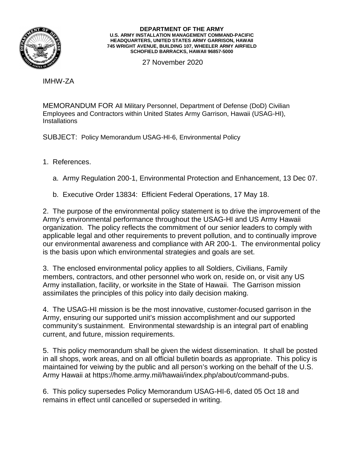

## **DEPARTMENT OF THE ARMY U.S. ARMY INSTALLATION MANAGEMENT COMMAND-PACIFIC HEADQUARTERS, UNITED STATES ARMY GARRISON, HAWAII 745 WRIGHT AVENUE, BUILDING 107, WHEELER ARMY AIRFIELD SCHOFIELD BARRACKS, HAWAII 96857-5000**

27 November 2020

IMHW-ZA

MEMORANDUM FOR All Military Personnel, Department of Defense (DoD) Civilian Employees and Contractors within United States Army Garrison, Hawaii (USAG-HI), **Installations** 

SUBJECT: Policy Memorandum USAG-HI-6, Environmental Policy

1. References.

a. Army Regulation 200-1, Environmental Protection and Enhancement, 13 Dec 07.

b. Executive Order 13834: Efficient Federal Operations, 17 May 18.

2. The purpose of the environmental policy statement is to drive the improvement of the Army's environmental performance throughout the USAG-HI and US Army Hawaii organization. The policy reflects the commitment of our senior leaders to comply with applicable legal and other requirements to prevent pollution, and to continually improve our environmental awareness and compliance with AR 200-1. The environmental policy is the basis upon which environmental strategies and goals are set.

3. The enclosed environmental policy applies to all Soldiers, Civilians, Family members, contractors, and other personnel who work on, reside on, or visit any US Army installation, facility, or worksite in the State of Hawaii. The Garrison mission assimilates the principles of this policy into daily decision making.

4. The USAG-HI mission is be the most innovative, customer-focused garrison in the Army, ensuring our supported unit's mission accomplishment and our supported community's sustainment. Environmental stewardship is an integral part of enabling current, and future, mission requirements.

5. This policy memorandum shall be given the widest dissemination. It shall be posted in all shops, work areas, and on all official bulletin boards as appropriate. This policy is maintained for veiwing by the public and all person's working on the behalf of the U.S. Army Hawaii at https://home.army.mil/hawaii/index.php/about/command-pubs.

6. This policy supersedes Policy Memorandum USAG-HI-6, dated 05 Oct 18 and remains in effect until cancelled or superseded in writing.